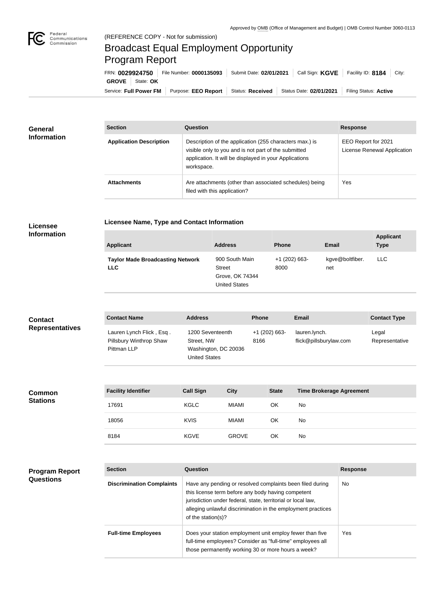

## Broadcast Equal Employment Opportunity Program Report

**Licensee Name, Type and Contact Information**

Service: Full Power FM Purpose: EEO Report | Status: Received | Status Date: 02/01/2021 | Filing Status: Active **GROVE** State: **OK** FRN: **0029924750** File Number: **0000135093** Submit Date: **02/01/2021** Call Sign: **KGVE** Facility ID: **8184** City:

| <b>General</b><br><b>Information</b> | <b>Section</b>                 | Question                                                                                                                                                                                | <b>Response</b>                                    |  |
|--------------------------------------|--------------------------------|-----------------------------------------------------------------------------------------------------------------------------------------------------------------------------------------|----------------------------------------------------|--|
|                                      | <b>Application Description</b> | Description of the application (255 characters max.) is<br>visible only to you and is not part of the submitted<br>application. It will be displayed in your Applications<br>workspace. | EEO Report for 2021<br>License Renewal Application |  |
|                                      | <b>Attachments</b>             | Are attachments (other than associated schedules) being<br>filed with this application?                                                                                                 | Yes                                                |  |

## **Licensee Information**

**Program Report** 

**Questions**

**Common Stations**

| <b>Applicant</b>                                      | <b>Address</b>                                                             | <b>Phone</b>            | <b>Email</b>           | <b>Applicant</b><br><b>Type</b> |
|-------------------------------------------------------|----------------------------------------------------------------------------|-------------------------|------------------------|---------------------------------|
| <b>Taylor Made Broadcasting Network</b><br><b>LLC</b> | 900 South Main<br><b>Street</b><br>Grove, OK 74344<br><b>United States</b> | $+1$ (202) 663-<br>8000 | kgve@boltfiber.<br>net | <b>LLC</b>                      |

| <b>Contact</b>         | <b>Contact Name</b>                                                | <b>Address</b>                                                                 | <b>Phone</b>            | <b>Email</b>                            | <b>Contact Type</b>     |
|------------------------|--------------------------------------------------------------------|--------------------------------------------------------------------------------|-------------------------|-----------------------------------------|-------------------------|
| <b>Representatives</b> | Lauren Lynch Flick, Esq.<br>Pillsbury Winthrop Shaw<br>Pittman LLP | 1200 Seventeenth<br>Street, NW<br>Washington, DC 20036<br><b>United States</b> | $+1$ (202) 663-<br>8166 | lauren.lynch.<br>flick@pillsburylaw.com | Legal<br>Representative |

| <b>Facility Identifier</b> | <b>Call Sign</b> | <b>City</b>  | <b>State</b> | <b>Time Brokerage Agreement</b> |
|----------------------------|------------------|--------------|--------------|---------------------------------|
| 17691                      | <b>KGLC</b>      | <b>MIAMI</b> | ΟK           | No                              |
| 18056                      | <b>KVIS</b>      | <b>MIAMI</b> | OK           | No                              |
| 8184                       | <b>KGVE</b>      | <b>GROVE</b> | OK           | No                              |

| <b>Section</b>                   | Question                                                                                                                                                                                                                                                              | <b>Response</b> |  |
|----------------------------------|-----------------------------------------------------------------------------------------------------------------------------------------------------------------------------------------------------------------------------------------------------------------------|-----------------|--|
| <b>Discrimination Complaints</b> | Have any pending or resolved complaints been filed during<br>this license term before any body having competent<br>jurisdiction under federal, state, territorial or local law,<br>alleging unlawful discrimination in the employment practices<br>of the station(s)? | No              |  |
| <b>Full-time Employees</b>       | Does your station employment unit employ fewer than five<br>full-time employees? Consider as "full-time" employees all<br>those permanently working 30 or more hours a week?                                                                                          | Yes             |  |